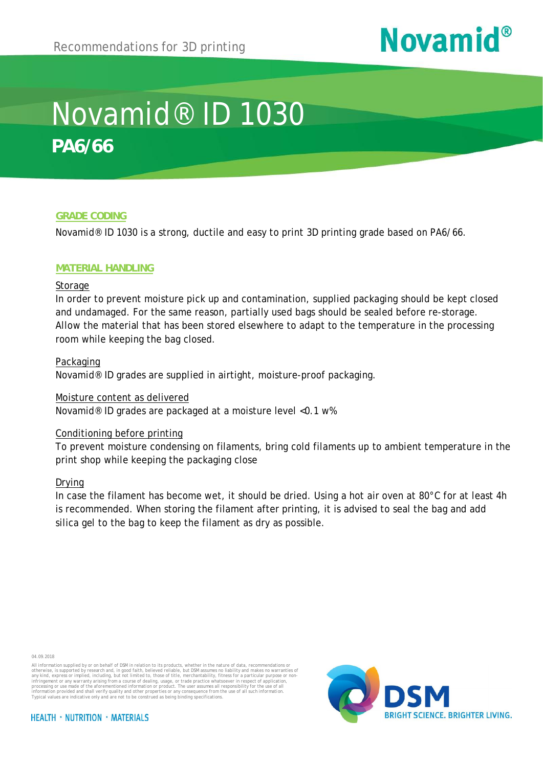# **Novamid®**

## Novamid® ID 1030 **PA6/66**

#### **GRADE CODING**

Novamid® ID 1030 is a strong, ductile and easy to print 3D printing grade based on PA6/66.

#### **MATERIAL HANDLING**

#### Storage

In order to prevent moisture pick up and contamination, supplied packaging should be kept closed and undamaged. For the same reason, partially used bags should be sealed before re-storage. Allow the material that has been stored elsewhere to adapt to the temperature in the processing room while keeping the bag closed.

#### Packaging

Novamid® ID grades are supplied in airtight, moisture-proof packaging.

#### Moisture content as delivered

Novamid® ID grades are packaged at a moisture level <0.1 w%

#### Conditioning before printing

To prevent moisture condensing on filaments, bring cold filaments up to ambient temperature in the print shop while keeping the packaging close

#### Drying

In case the filament has become wet, it should be dried. Using a hot air oven at 80°C for at least 4h is recommended. When storing the filament after printing, it is advised to seal the bag and add silica gel to the bag to keep the filament as dry as possible.



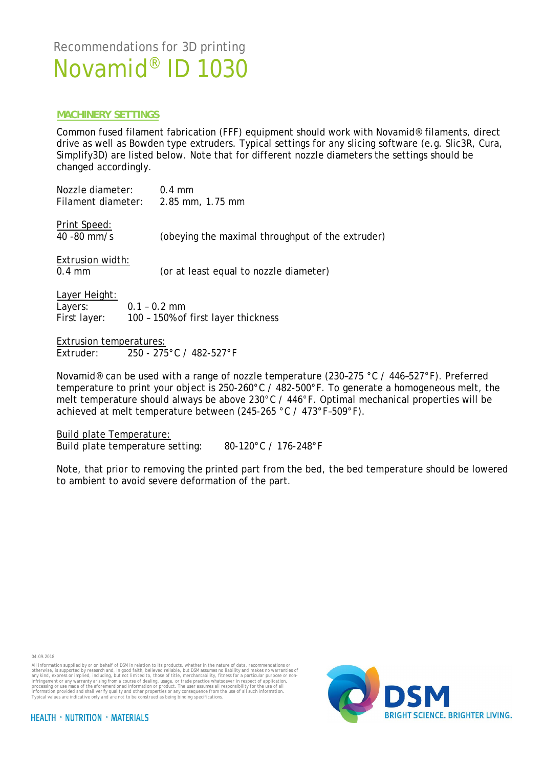#### **MACHINERY SETTINGS**

Common fused filament fabrication (FFF) equipment should work with Novamid® filaments, direct drive as well as Bowden type extruders. Typical settings for any slicing software (e.g. Slic3R, Cura, Simplify3D) are listed below. Note that for different nozzle diameters the settings should be changed accordingly.

| Nozzle diameter:<br>Filament diameter:   | $0.4 \text{ mm}$<br>2.85 mm, 1.75 mm                  |
|------------------------------------------|-------------------------------------------------------|
| Print Speed:<br>$40 - 80$ mm/s           | (obeying the maximal throughput of the extruder)      |
| Extrusion width:<br>$0.4 \text{ mm}$     | (or at least equal to nozzle diameter)                |
| Layer Height:<br>Layers:<br>First layer: | $0.1 - 0.2$ mm<br>100 - 150% of first layer thickness |
| Extrusion temperatures:                  |                                                       |
|                                          | Extruder: 250 - 275°C / 482-527°F                     |

Novamid® can be used with a range of nozzle temperature (230–275 °C / 446–527°F). Preferred temperature to print your object is 250-260°C / 482-500°F. To generate a homogeneous melt, the melt temperature should always be above 230°C / 446°F. Optimal mechanical properties will be achieved at melt temperature between (245-265 °C / 473°F–509°F).

Build plate Temperature: Build plate temperature setting: 80-120°C / 176-248°F

 Note, that prior to removing the printed part from the bed, the bed temperature should be lowered to ambient to avoid severe deformation of the part.

04.09.2018

All information supplied by or on behalf of DSM in relation to its products, whether in the nature of data, recommendations or otherwise, is supported by research and, in good faith, believed reliable, but OSM assumes on l



**HEALTH · NUTRITION · MATERIALS**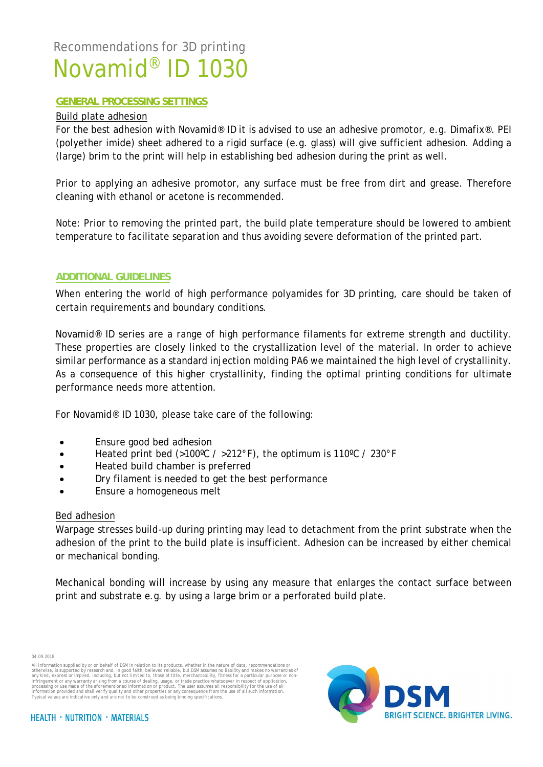#### **GENERAL PROCESSING SETTINGS**

#### Build plate adhesion

For the best adhesion with Novamid® ID it is advised to use an adhesive promotor, e.g. Dimafix®. PEI (polyether imide) sheet adhered to a rigid surface (e.g. glass) will give sufficient adhesion. Adding a (large) brim to the print will help in establishing bed adhesion during the print as well.

Prior to applying an adhesive promotor, any surface must be free from dirt and grease. Therefore cleaning with ethanol or acetone is recommended.

Note: Prior to removing the printed part, the build plate temperature should be lowered to ambient temperature to facilitate separation and thus avoiding severe deformation of the printed part.

#### **ADDITIONAL GUIDELINES**

When entering the world of high performance polyamides for 3D printing, care should be taken of certain requirements and boundary conditions.

Novamid® ID series are a range of high performance filaments for extreme strength and ductility. These properties are closely linked to the crystallization level of the material. In order to achieve similar performance as a standard injection molding PA6 we maintained the high level of crystallinity. As a consequence of this higher crystallinity, finding the optimal printing conditions for ultimate performance needs more attention.

For Novamid® ID 1030, please take care of the following:

- Ensure good bed adhesion
- · Heated print bed (>100ºC / >212°F), the optimum is 110ºC / 230°F
- · Heated build chamber is preferred
- Dry filament is needed to get the best performance
- Ensure a homogeneous melt

#### Bed adhesion

Warpage stresses build-up during printing may lead to detachment from the print substrate when the adhesion of the print to the build plate is insufficient. Adhesion can be increased by either chemical or mechanical bonding.

Mechanical bonding will increase by using any measure that enlarges the contact surface between print and substrate e.g. by using a large brim or a perforated build plate.

04.09.2018



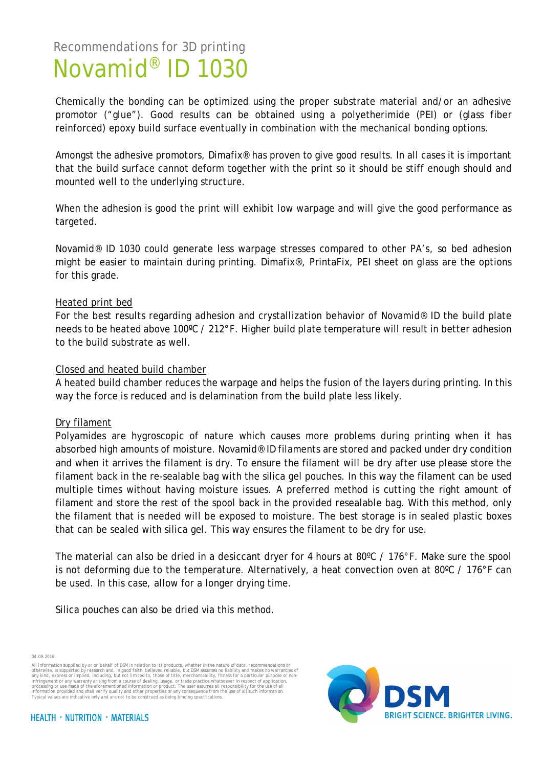> Chemically the bonding can be optimized using the proper substrate material and/or an adhesive promotor ("glue"). Good results can be obtained using a polyetherimide (PEI) or (glass fiber reinforced) epoxy build surface eventually in combination with the mechanical bonding options.

> Amongst the adhesive promotors, Dimafix® has proven to give good results. In all cases it is important that the build surface cannot deform together with the print so it should be stiff enough should and mounted well to the underlying structure.

> When the adhesion is good the print will exhibit low warpage and will give the good performance as targeted.

> Novamid® ID 1030 could generate less warpage stresses compared to other PA's, so bed adhesion might be easier to maintain during printing. Dimafix®, PrintaFix, PEI sheet on glass are the options for this grade.

#### Heated print bed

For the best results regarding adhesion and crystallization behavior of Novamid® ID the build plate needs to be heated above 100ºC / 212°F. Higher build plate temperature will result in better adhesion to the build substrate as well.

#### Closed and heated build chamber

A heated build chamber reduces the warpage and helps the fusion of the layers during printing. In this way the force is reduced and is delamination from the build plate less likely.

#### Dry filament

Polyamides are hygroscopic of nature which causes more problems during printing when it has absorbed high amounts of moisture. Novamid® ID filaments are stored and packed under dry condition and when it arrives the filament is dry. To ensure the filament will be dry after use please store the filament back in the re-sealable bag with the silica gel pouches. In this way the filament can be used multiple times without having moisture issues. A preferred method is cutting the right amount of filament and store the rest of the spool back in the provided resealable bag. With this method, only the filament that is needed will be exposed to moisture. The best storage is in sealed plastic boxes that can be sealed with silica gel. This way ensures the filament to be dry for use.

The material can also be dried in a desiccant dryer for 4 hours at 80ºC / 176°F. Make sure the spool is not deforming due to the temperature. Alternatively, a heat convection oven at 80ºC / 176°F can be used. In this case, allow for a longer drying time.

Silica pouches can also be dried via this method.

04.09.2018